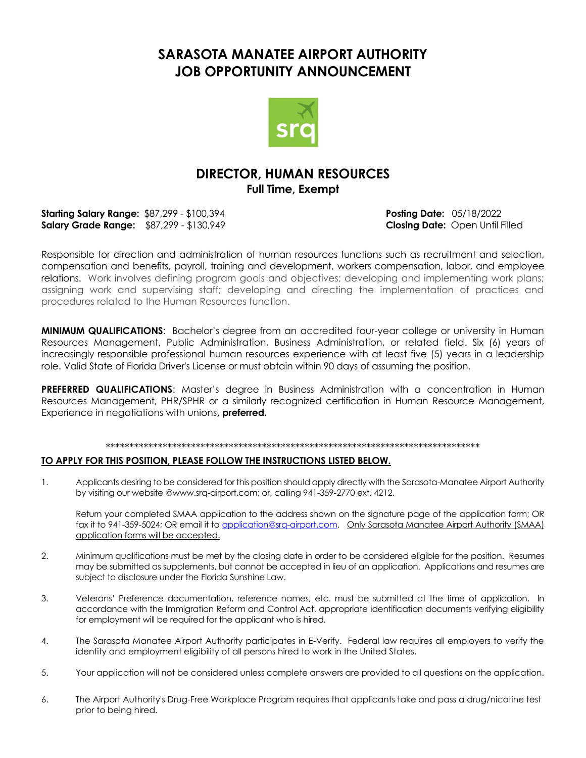## **SARASOTA MANATEE AIRPORT AUTHORITY JOB OPPORTUNITY ANNOUNCEMENT**



## **DIRECTOR, HUMAN RESOURCES Full Time, Exempt**

**Starting Salary Range:** \$87,299 - \$100,394 **Posting Date:** 05/18/2022 **Salary Grade Range:** \$87,299 - \$130,949 **Closing Date:** Open Until Filled

Responsible for direction and administration of human resources functions such as recruitment and selection, compensation and benefits, payroll, training and development, workers compensation, labor, and employee relations. Work involves defining program goals and objectives; developing and implementing work plans; assigning work and supervising staff; developing and directing the implementation of practices and procedures related to the Human Resources function.

**MINIMUM QUALIFICATIONS**: Bachelor's degree from an accredited four-year college or university in Human Resources Management, Public Administration, Business Administration, or related field. Six (6) years of increasingly responsible professional human resources experience with at least five (5) years in a leadership role. Valid State of Florida Driver's License or must obtain within 90 days of assuming the position.

**PREFERRED QUALIFICATIONS**: Master's degree in Business Administration with a concentration in Human Resources Management, PHR/SPHR or a similarly recognized certification in Human Resource Management, Experience in negotiations with unions**, preferred.**

#### \*\*\*\*\*\*\*\*\*\*\*\*\*\*\*\*\*\*\*\*\*\*\*\*\*\*\*\*\*\*\*\*\*\*\*\*\*\*\*\*\*\*\*\*\*\*\*\*\*\*\*\*\*\*\*\*\*\*\*\*\*\*\*\*\*\*\*\*\*\*\*\*\*\*\*\*\*\*\*

#### **TO APPLY FOR THIS POSITION, PLEASE FOLLOW THE INSTRUCTIONS LISTED BELOW.**

1. Applicants desiring to be considered for this position should apply directly with the Sarasota-Manatee Airport Authority by visiting our website @www.srq-airport.com; or, calling 941-359-2770 ext. 4212.

Return your completed SMAA application to the address shown on the signature page of the application form; OR fax it to 941-359-5024; OR email it to [application@srq-airport.com.](mailto:application@srq-airport.com) Only Sarasota Manatee Airport Authority (SMAA) application forms will be accepted.

- 2. Minimum qualifications must be met by the closing date in order to be considered eligible for the position. Resumes may be submitted as supplements, but cannot be accepted in lieu of an application. Applications and resumes are subject to disclosure under the Florida Sunshine Law.
- 3. Veterans' Preference documentation, reference names, etc. must be submitted at the time of application. In accordance with the Immigration Reform and Control Act, appropriate identification documents verifying eligibility for employment will be required for the applicant who is hired.
- 4. The Sarasota Manatee Airport Authority participates in E-Verify. Federal law requires all employers to verify the identity and employment eligibility of all persons hired to work in the United States.
- 5. Your application will not be considered unless complete answers are provided to all questions on the application.
- 6. The Airport Authority's Drug-Free Workplace Program requires that applicants take and pass a drug/nicotine test prior to being hired.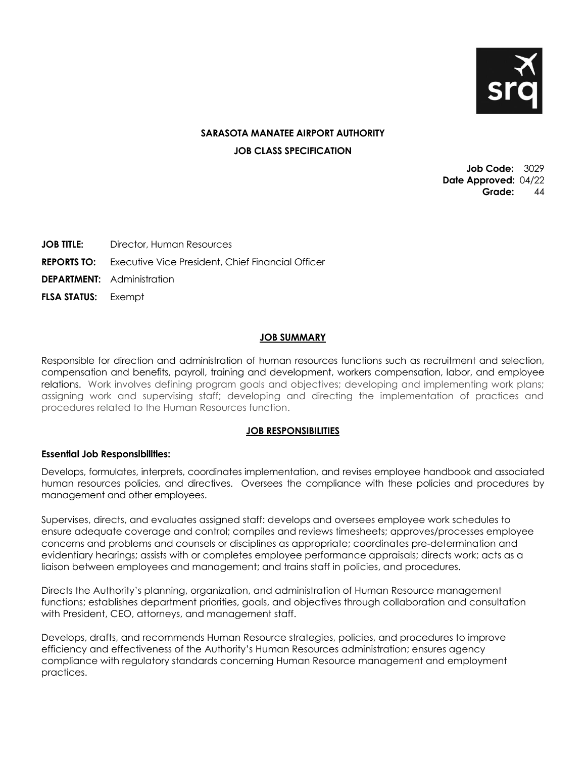

### **SARASOTA MANATEE AIRPORT AUTHORITY JOB CLASS SPECIFICATION**

**Job Code:** 3029 **Date Approved:** 04/22 **Grade:** 44

**JOB TITLE:** Director, Human Resources

**REPORTS TO:** Executive Vice President, Chief Financial Officer

**DEPARTMENT:** Administration

**FLSA STATUS:** Exempt

#### **JOB SUMMARY**

Responsible for direction and administration of human resources functions such as recruitment and selection, compensation and benefits, payroll, training and development, workers compensation, labor, and employee relations. Work involves defining program goals and objectives; developing and implementing work plans; assigning work and supervising staff; developing and directing the implementation of practices and procedures related to the Human Resources function.

#### **JOB RESPONSIBILITIES**

#### **Essential Job Responsibilities:**

Develops, formulates, interprets, coordinates implementation, and revises employee handbook and associated human resources policies, and directives. Oversees the compliance with these policies and procedures by management and other employees.

Supervises, directs, and evaluates assigned staff: develops and oversees employee work schedules to ensure adequate coverage and control; compiles and reviews timesheets; approves/processes employee concerns and problems and counsels or disciplines as appropriate; coordinates pre-determination and evidentiary hearings; assists with or completes employee performance appraisals; directs work; acts as a liaison between employees and management; and trains staff in policies, and procedures.

Directs the Authority's planning, organization, and administration of Human Resource management functions; establishes department priorities, goals, and objectives through collaboration and consultation with President, CEO, attorneys, and management staff.

Develops, drafts, and recommends Human Resource strategies, policies, and procedures to improve efficiency and effectiveness of the Authority's Human Resources administration; ensures agency compliance with regulatory standards concerning Human Resource management and employment practices.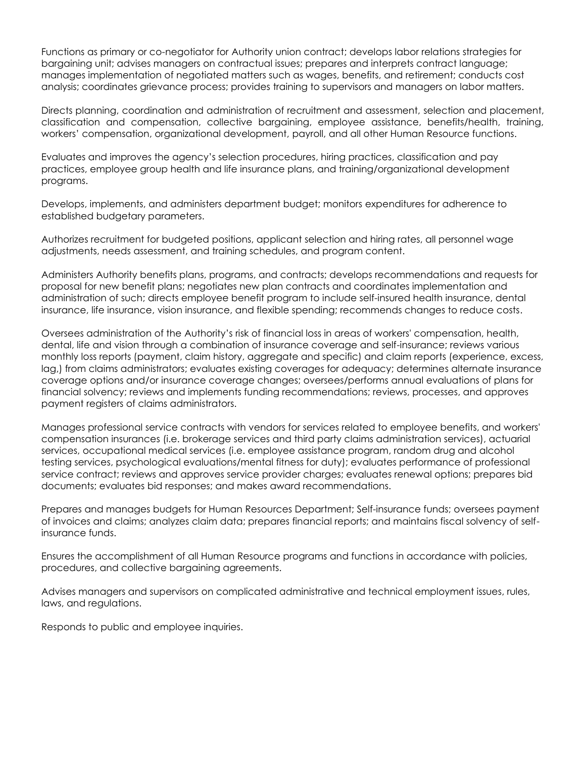Functions as primary or co-negotiator for Authority union contract; develops labor relations strategies for bargaining unit; advises managers on contractual issues; prepares and interprets contract language; manages implementation of negotiated matters such as wages, benefits, and retirement; conducts cost analysis; coordinates grievance process; provides training to supervisors and managers on labor matters.

Directs planning, coordination and administration of recruitment and assessment, selection and placement, classification and compensation, collective bargaining, employee assistance, benefits/health, training, workers' compensation, organizational development, payroll, and all other Human Resource functions.

Evaluates and improves the agency's selection procedures, hiring practices, classification and pay practices, employee group health and life insurance plans, and training/organizational development programs.

Develops, implements, and administers department budget; monitors expenditures for adherence to established budgetary parameters.

Authorizes recruitment for budgeted positions, applicant selection and hiring rates, all personnel wage adjustments, needs assessment, and training schedules, and program content.

Administers Authority benefits plans, programs, and contracts; develops recommendations and requests for proposal for new benefit plans; negotiates new plan contracts and coordinates implementation and administration of such; directs employee benefit program to include self-insured health insurance, dental insurance, life insurance, vision insurance, and flexible spending; recommends changes to reduce costs.

Oversees administration of the Authority's risk of financial loss in areas of workers' compensation, health, dental, life and vision through a combination of insurance coverage and self-insurance; reviews various monthly loss reports (payment, claim history, aggregate and specific) and claim reports (experience, excess, lag,) from claims administrators; evaluates existing coverages for adequacy; determines alternate insurance coverage options and/or insurance coverage changes; oversees/performs annual evaluations of plans for financial solvency; reviews and implements funding recommendations; reviews, processes, and approves payment registers of claims administrators.

Manages professional service contracts with vendors for services related to employee benefits, and workers' compensation insurances (i.e. brokerage services and third party claims administration services), actuarial services, occupational medical services (i.e. employee assistance program, random drug and alcohol testing services, psychological evaluations/mental fitness for duty); evaluates performance of professional service contract; reviews and approves service provider charges; evaluates renewal options; prepares bid documents; evaluates bid responses; and makes award recommendations.

Prepares and manages budgets for Human Resources Department; Self-insurance funds; oversees payment of invoices and claims; analyzes claim data; prepares financial reports; and maintains fiscal solvency of selfinsurance funds.

Ensures the accomplishment of all Human Resource programs and functions in accordance with policies, procedures, and collective bargaining agreements.

Advises managers and supervisors on complicated administrative and technical employment issues, rules, laws, and regulations.

Responds to public and employee inquiries.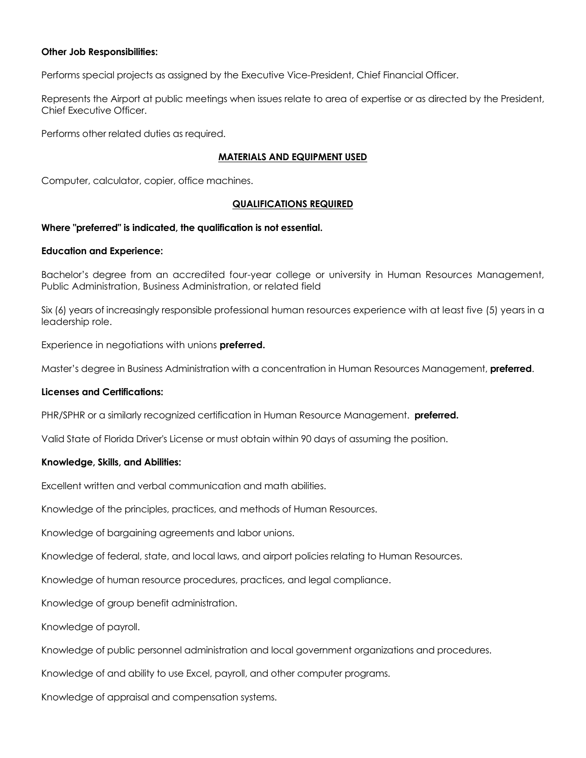#### **Other Job Responsibilities:**

Performs special projects as assigned by the Executive Vice-President, Chief Financial Officer.

Represents the Airport at public meetings when issues relate to area of expertise or as directed by the President, Chief Executive Officer.

Performs other related duties as required.

#### **MATERIALS AND EQUIPMENT USED**

Computer, calculator, copier, office machines.

#### **QUALIFICATIONS REQUIRED**

#### **Where "preferred" is indicated, the qualification is not essential.**

#### **Education and Experience:**

Bachelor's degree from an accredited four-year college or university in Human Resources Management, Public Administration, Business Administration, or related field

Six (6) years of increasingly responsible professional human resources experience with at least five (5) years in a leadership role.

Experience in negotiations with unions **preferred.**

Master's degree in Business Administration with a concentration in Human Resources Management, **preferred**.

#### **Licenses and Certifications:**

PHR/SPHR or a similarly recognized certification in Human Resource Management. **preferred.**

Valid State of Florida Driver's License or must obtain within 90 days of assuming the position.

#### **Knowledge, Skills, and Abilities:**

Excellent written and verbal communication and math abilities.

Knowledge of the principles, practices, and methods of Human Resources.

Knowledge of bargaining agreements and labor unions.

Knowledge of federal, state, and local laws, and airport policies relating to Human Resources.

Knowledge of human resource procedures, practices, and legal compliance.

Knowledge of group benefit administration.

Knowledge of payroll.

Knowledge of public personnel administration and local government organizations and procedures.

Knowledge of and ability to use Excel, payroll, and other computer programs.

Knowledge of appraisal and compensation systems.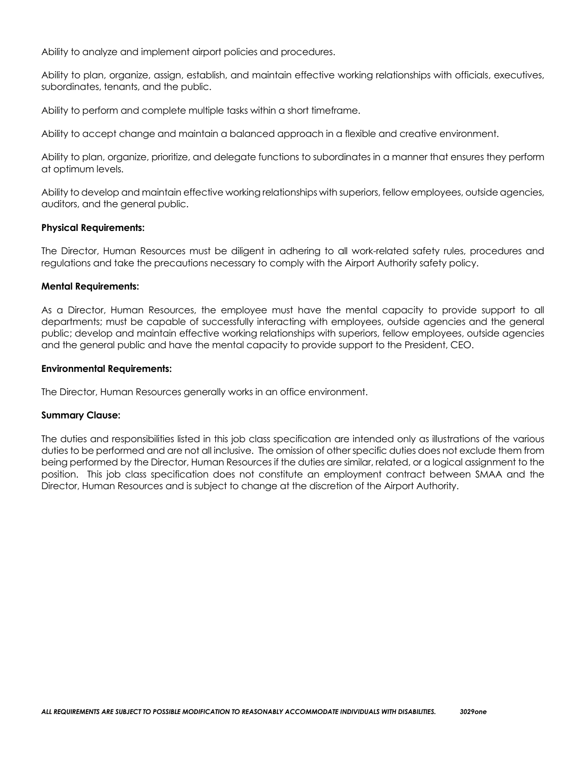Ability to analyze and implement airport policies and procedures.

Ability to plan, organize, assign, establish, and maintain effective working relationships with officials, executives, subordinates, tenants, and the public.

Ability to perform and complete multiple tasks within a short timeframe.

Ability to accept change and maintain a balanced approach in a flexible and creative environment.

Ability to plan, organize, prioritize, and delegate functions to subordinates in a manner that ensures they perform at optimum levels.

Ability to develop and maintain effective working relationships with superiors, fellow employees, outside agencies, auditors, and the general public.

#### **Physical Requirements:**

The Director, Human Resources must be diligent in adhering to all work-related safety rules, procedures and regulations and take the precautions necessary to comply with the Airport Authority safety policy.

#### **Mental Requirements:**

As a Director, Human Resources, the employee must have the mental capacity to provide support to all departments; must be capable of successfully interacting with employees, outside agencies and the general public; develop and maintain effective working relationships with superiors, fellow employees, outside agencies and the general public and have the mental capacity to provide support to the President, CEO.

#### **Environmental Requirements:**

The Director, Human Resources generally works in an office environment.

#### **Summary Clause:**

The duties and responsibilities listed in this job class specification are intended only as illustrations of the various duties to be performed and are not all inclusive. The omission of other specific duties does not exclude them from being performed by the Director, Human Resources if the duties are similar, related, or a logical assignment to the position. This job class specification does not constitute an employment contract between SMAA and the Director, Human Resources and is subject to change at the discretion of the Airport Authority.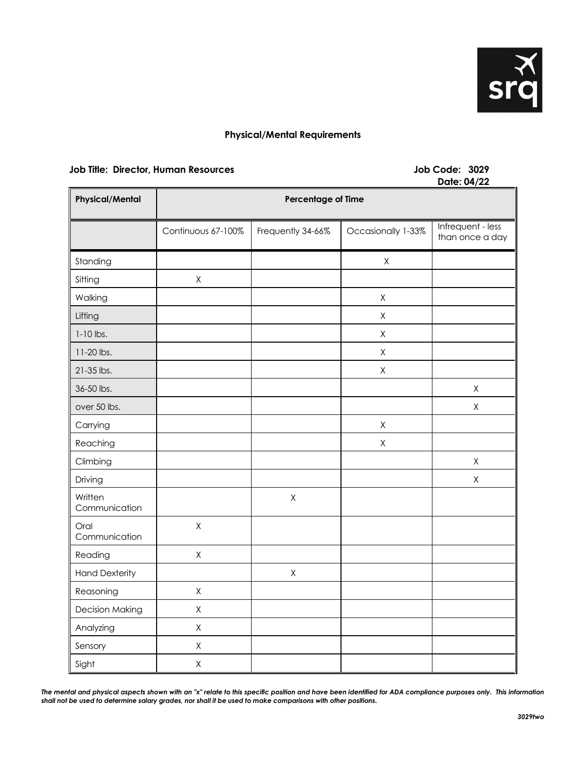

#### **Physical/Mental Requirements**

#### **Job Title: Director, Human Resources Job Code: 3029**

# **Date: 04/22**

| <b>Physical/Mental</b>   | $P^{\text{GIC}}$ , $V_{\text{H}}/L$<br>Percentage of Time |                   |                    |                                      |
|--------------------------|-----------------------------------------------------------|-------------------|--------------------|--------------------------------------|
|                          | Continuous 67-100%                                        | Frequently 34-66% | Occasionally 1-33% | Infrequent - less<br>than once a day |
| Standing                 |                                                           |                   | $\mathsf X$        |                                      |
| Sitting                  | $\mathsf X$                                               |                   |                    |                                      |
| Walking                  |                                                           |                   | $\mathsf X$        |                                      |
| Lifting                  |                                                           |                   | $\mathsf X$        |                                      |
| $1-10$ lbs.              |                                                           |                   | $\mathsf X$        |                                      |
| 11-20 lbs.               |                                                           |                   | $\mathsf X$        |                                      |
| 21-35 lbs.               |                                                           |                   | $\mathsf X$        |                                      |
| 36-50 lbs.               |                                                           |                   |                    | $\mathsf X$                          |
| over 50 lbs.             |                                                           |                   |                    | $\mathsf X$                          |
| Carrying                 |                                                           |                   | $\mathsf X$        |                                      |
| Reaching                 |                                                           |                   | $\mathsf X$        |                                      |
| Climbing                 |                                                           |                   |                    | $\mathsf X$                          |
| Driving                  |                                                           |                   |                    | $\mathsf X$                          |
| Written<br>Communication |                                                           | $\mathsf X$       |                    |                                      |
| Oral<br>Communication    | $\mathsf X$                                               |                   |                    |                                      |
| Reading                  | $\mathsf X$                                               |                   |                    |                                      |
| <b>Hand Dexterity</b>    |                                                           | $\mathsf X$       |                    |                                      |
| Reasoning                | $\mathsf X$                                               |                   |                    |                                      |
| <b>Decision Making</b>   | $\mathsf X$                                               |                   |                    |                                      |
| Analyzing                | $\mathsf X$                                               |                   |                    |                                      |
| Sensory                  | $\mathsf X$                                               |                   |                    |                                      |
| Sight                    | $\mathsf X$                                               |                   |                    |                                      |

The mental and physical aspects shown with an "x" relate to this specific position and have been identified for ADA compliance purposes only. This information *shall not be used to determine salary grades, nor shall it be used to make comparisons with other positions.*